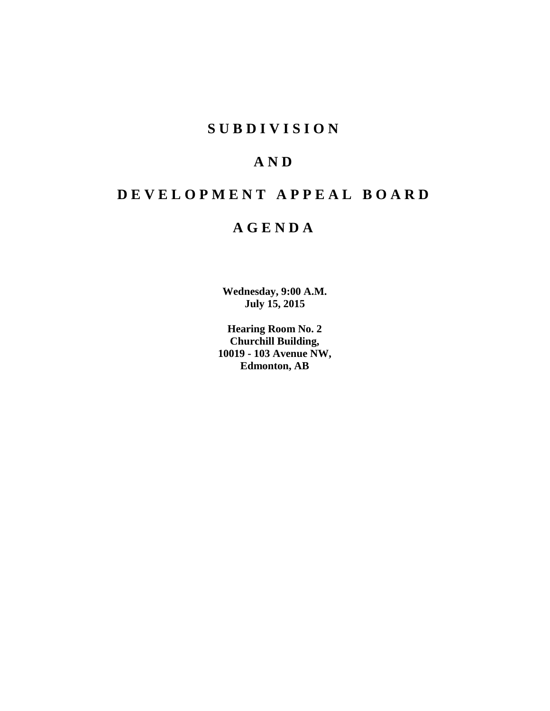# **SUBDIVISION**

# **AND**

# **DEVELOPMENT APPEAL BOARD**

# **AGENDA**

**Wednesday, 9:00 A.M. July 15, 2015**

**Hearing Room No. 2 Churchill Building, 10019 - 103 Avenue NW, Edmonton, AB**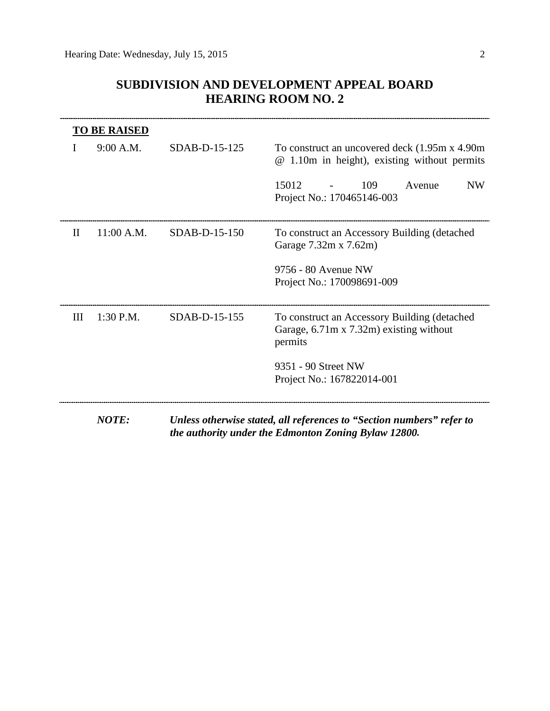# **SUBDIVISION AND DEVELOPMENT APPEAL BOARD HEARING ROOM NO. 2**

| <b>TO BE RAISED</b>        |                 |                                                                                                                               |  |
|----------------------------|-----------------|-------------------------------------------------------------------------------------------------------------------------------|--|
| 9:00 A.M.                  | $SDAB-D-15-125$ | To construct an uncovered deck (1.95m x 4.90m)<br>@ 1.10m in height), existing without permits                                |  |
|                            |                 | 15012<br>109<br><b>NW</b><br>Avenue<br>Project No.: 170465146-003                                                             |  |
| 11:00 A.M.<br>$\mathbf{I}$ | SDAB-D-15-150   | To construct an Accessory Building (detached<br>Garage 7.32m x 7.62m)                                                         |  |
|                            |                 | 9756 - 80 Avenue NW<br>Project No.: 170098691-009                                                                             |  |
| III<br>$1:30$ P.M.         | SDAB-D-15-155   | To construct an Accessory Building (detached<br>Garage, 6.71m x 7.32m) existing without<br>permits                            |  |
|                            |                 | 9351 - 90 Street NW<br>Project No.: 167822014-001                                                                             |  |
| <b>NOTE:</b>               |                 | Unless otherwise stated, all references to "Section numbers" refer to<br>the authority under the Edmonton Zoning Bylaw 12800. |  |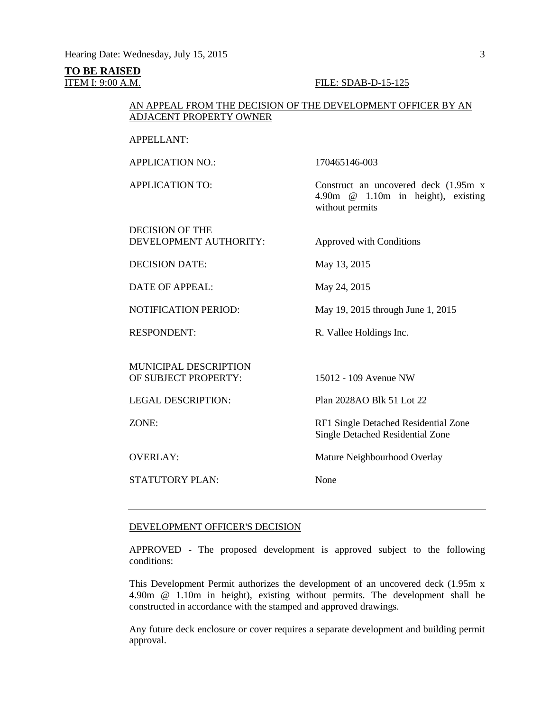# **TO BE RAISED**

## **ITEM I: 9:00 A.M. FILE: SDAB-D-15-125**

# AN APPEAL FROM THE DECISION OF THE DEVELOPMENT OFFICER BY AN ADJACENT PROPERTY OWNER

# APPELLANT:

APPLICATION NO.: 170465146-003

APPLICATION TO: Construct an uncovered deck (1.95m x 4.90m @ 1.10m in height), existing without permits

DECISION OF THE DEVELOPMENT AUTHORITY: Approved with Conditions

DECISION DATE: May 13, 2015

DATE OF APPEAL: May 24, 2015

NOTIFICATION PERIOD: May 19, 2015 through June 1, 2015

RESPONDENT: R. Vallee Holdings Inc.

MUNICIPAL DESCRIPTION OF SUBJECT PROPERTY: 15012 - 109 Avenue NW

STATUTORY PLAN: None

LEGAL DESCRIPTION: Plan 2028AO Blk 51 Lot 22

ZONE: RF1 Single Detached Residential Zone Single Detached Residential Zone

OVERLAY: Mature Neighbourhood Overlay

## DEVELOPMENT OFFICER'S DECISION

APPROVED - The proposed development is approved subject to the following conditions:

This Development Permit authorizes the development of an uncovered deck (1.95m x 4.90m @ 1.10m in height), existing without permits. The development shall be constructed in accordance with the stamped and approved drawings.

Any future deck enclosure or cover requires a separate development and building permit approval.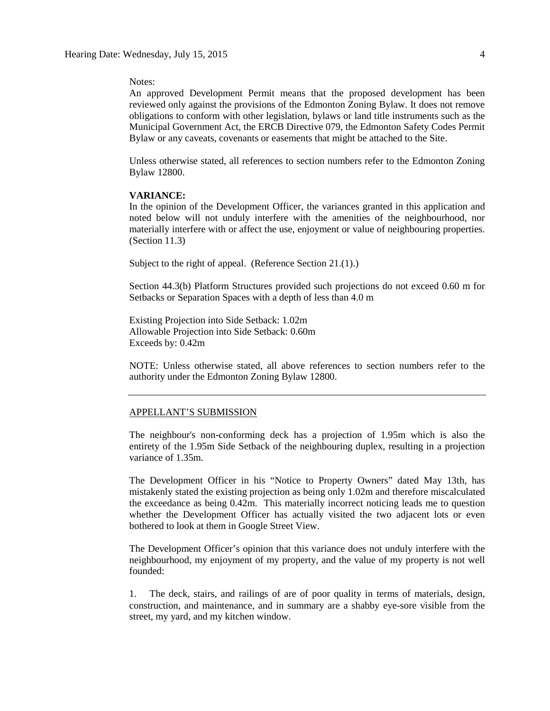Notes:

An approved Development Permit means that the proposed development has been reviewed only against the provisions of the Edmonton Zoning Bylaw. It does not remove obligations to conform with other legislation, bylaws or land title instruments such as the Municipal Government Act, the ERCB Directive 079, the Edmonton Safety Codes Permit Bylaw or any caveats, covenants or easements that might be attached to the Site.

Unless otherwise stated, all references to section numbers refer to the Edmonton Zoning Bylaw 12800.

## **VARIANCE:**

In the opinion of the Development Officer, the variances granted in this application and noted below will not unduly interfere with the amenities of the neighbourhood, nor materially interfere with or affect the use, enjoyment or value of neighbouring properties. (Section 11.3)

Subject to the right of appeal. (Reference Section 21.(1).)

Section 44.3(b) Platform Structures provided such projections do not exceed 0.60 m for Setbacks or Separation Spaces with a depth of less than 4.0 m

Existing Projection into Side Setback: 1.02m Allowable Projection into Side Setback: 0.60m Exceeds by: 0.42m

NOTE: Unless otherwise stated, all above references to section numbers refer to the authority under the Edmonton Zoning Bylaw 12800.

#### APPELLANT'S SUBMISSION

The neighbour's non-conforming deck has a projection of 1.95m which is also the entirety of the 1.95m Side Setback of the neighbouring duplex, resulting in a projection variance of 1.35m.

The Development Officer in his "Notice to Property Owners" dated May 13th, has mistakenly stated the existing projection as being only 1.02m and therefore miscalculated the exceedance as being 0.42m. This materially incorrect noticing leads me to question whether the Development Officer has actually visited the two adjacent lots or even bothered to look at them in Google Street View.

The Development Officer's opinion that this variance does not unduly interfere with the neighbourhood, my enjoyment of my property, and the value of my property is not well founded:

1. The deck, stairs, and railings of are of poor quality in terms of materials, design, construction, and maintenance, and in summary are a shabby eye-sore visible from the street, my yard, and my kitchen window.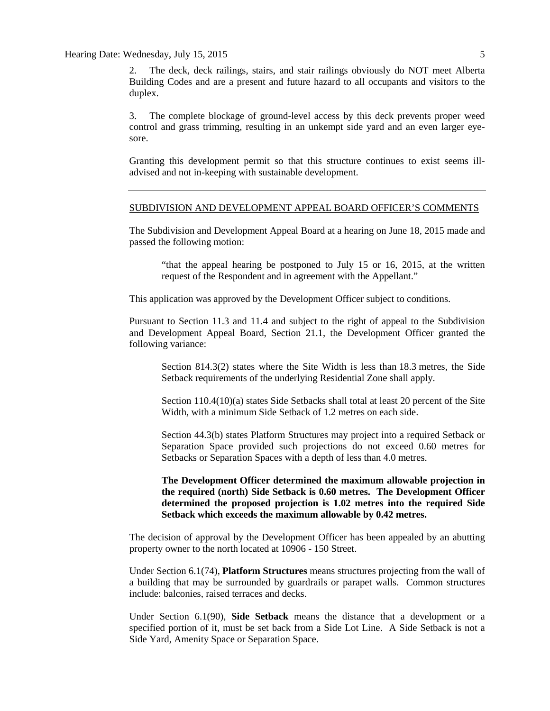Hearing Date: Wednesday, July 15, 2015

2. The deck, deck railings, stairs, and stair railings obviously do NOT meet Alberta Building Codes and are a present and future hazard to all occupants and visitors to the duplex.

3. The complete blockage of ground-level access by this deck prevents proper weed control and grass trimming, resulting in an unkempt side yard and an even larger eyesore.

Granting this development permit so that this structure continues to exist seems illadvised and not in-keeping with sustainable development.

# SUBDIVISION AND DEVELOPMENT APPEAL BOARD OFFICER'S COMMENTS

The Subdivision and Development Appeal Board at a hearing on June 18, 2015 made and passed the following motion:

"that the appeal hearing be postponed to July 15 or 16, 2015, at the written request of the Respondent and in agreement with the Appellant."

This application was approved by the Development Officer subject to conditions.

Pursuant to Section 11.3 and 11.4 and subject to the right of appeal to the Subdivision and Development Appeal Board, Section 21.1, the Development Officer granted the following variance:

Section 814.3(2) states where the Site Width is less than [18.3](javascript:void(0);) metres, the Side Setback requirements of the underlying Residential Zone shall apply.

Section 110.4(10)(a) states Side Setbacks shall total at least 20 percent of the Site Width, with a minimum Side Setback of [1.2](javascript:void(0);) metres on each side.

Section 44.3(b) states Platform Structures may project into a required Setback or Separation Space provided such projections do not exceed 0.60 metres for Setbacks or Separation Spaces with a depth of less than 4.0 metres.

**The Development Officer determined the maximum allowable projection in the required (north) Side Setback is 0.60 metres. The Development Officer determined the proposed projection is 1.02 metres into the required Side Setback which exceeds the maximum allowable by 0.42 metres.**

The decision of approval by the Development Officer has been appealed by an abutting property owner to the north located at 10906 - 150 Street.

Under Section 6.1(74), **Platform Structures** means structures projecting from the wall of a building that may be surrounded by guardrails or parapet walls. Common structures include: balconies, raised terraces and decks.

Under Section 6.1(90), **Side Setback** means the distance that a development or a specified portion of it, must be set back from a Side Lot Line. A Side Setback is not a Side Yard, Amenity Space or Separation Space.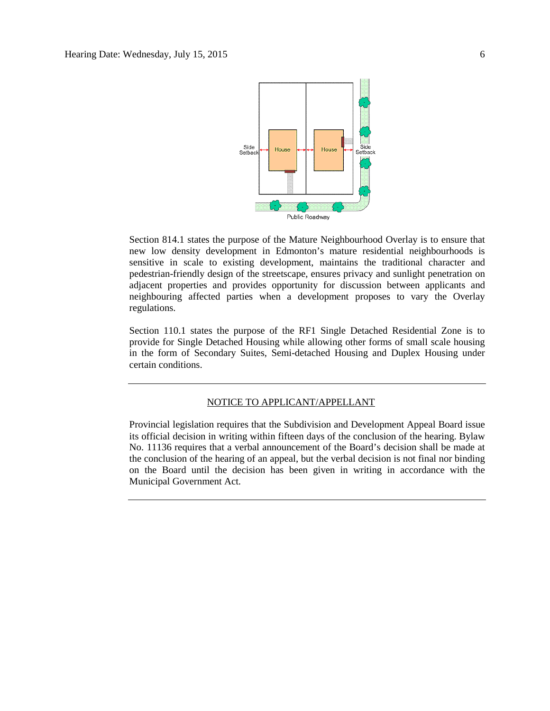

Section 814.1 states the purpose of the Mature Neighbourhood Overlay is to ensure that new low density development in Edmonton's mature residential neighbourhoods is sensitive in scale to existing development, maintains the traditional character and pedestrian-friendly design of the streetscape, ensures privacy and sunlight penetration on adjacent properties and provides opportunity for discussion between applicants and neighbouring affected parties when a development proposes to vary the Overlay regulations.

Section 110.1 states the purpose of the RF1 Single Detached Residential Zone is to provide for Single Detached Housing while allowing other forms of small scale housing in the form of Secondary Suites, Semi-detached Housing and Duplex Housing under certain conditions.

# NOTICE TO APPLICANT/APPELLANT

Provincial legislation requires that the Subdivision and Development Appeal Board issue its official decision in writing within fifteen days of the conclusion of the hearing. Bylaw No. 11136 requires that a verbal announcement of the Board's decision shall be made at the conclusion of the hearing of an appeal, but the verbal decision is not final nor binding on the Board until the decision has been given in writing in accordance with the Municipal Government Act.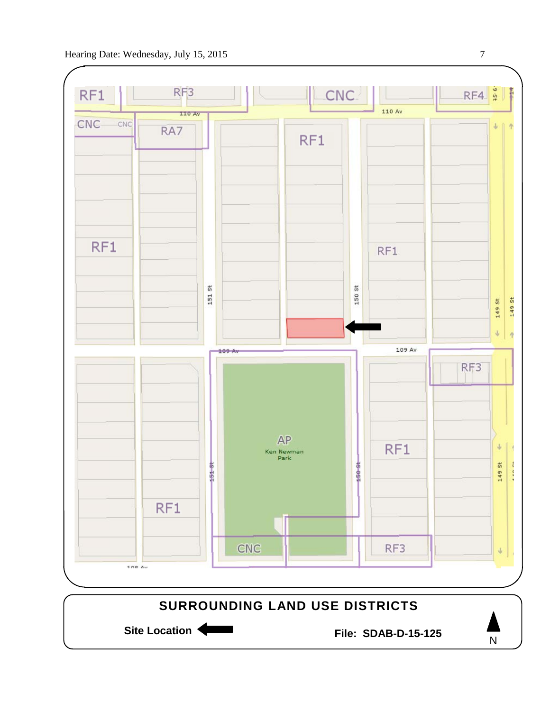

N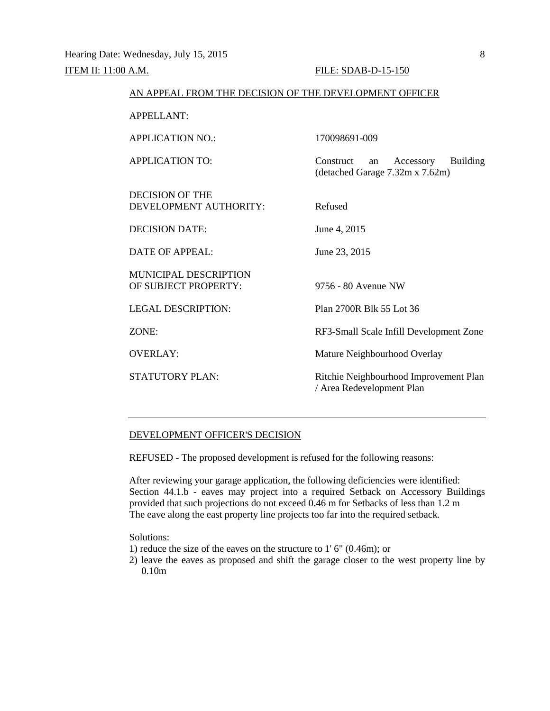## ITEM II: 11:00 A.M. FILE: SDAB-D-15-150

(detached Garage 7.32m x 7.62m)

# AN APPEAL FROM THE DECISION OF THE DEVELOPMENT OFFICER

APPELLANT:

APPLICATION NO.: 170098691-009

APPLICATION TO: Construct an Accessory Building

DECISION OF THE DEVELOPMENT AUTHORITY: Refused

DECISION DATE: June 4, 2015

DATE OF APPEAL: June 23, 2015

MUNICIPAL DESCRIPTION OF SUBJECT PROPERTY: 9756 - 80 Avenue NW

LEGAL DESCRIPTION: Plan 2700R Blk 55 Lot 36

ZONE: RF3-Small Scale Infill Development Zone

OVERLAY: Mature Neighbourhood Overlay

STATUTORY PLAN: Ritchie Neighbourhood Improvement Plan / Area Redevelopment Plan

# DEVELOPMENT OFFICER'S DECISION

REFUSED - The proposed development is refused for the following reasons:

After reviewing your garage application, the following deficiencies were identified: Section 44.1.b - eaves may project into a required Setback on Accessory Buildings provided that such projections do not exceed 0.46 m for Setbacks of less than 1.2 m The eave along the east property line projects too far into the required setback.

Solutions:

- 1) reduce the size of the eaves on the structure to 1' 6" (0.46m); or
- 2) leave the eaves as proposed and shift the garage closer to the west property line by 0.10m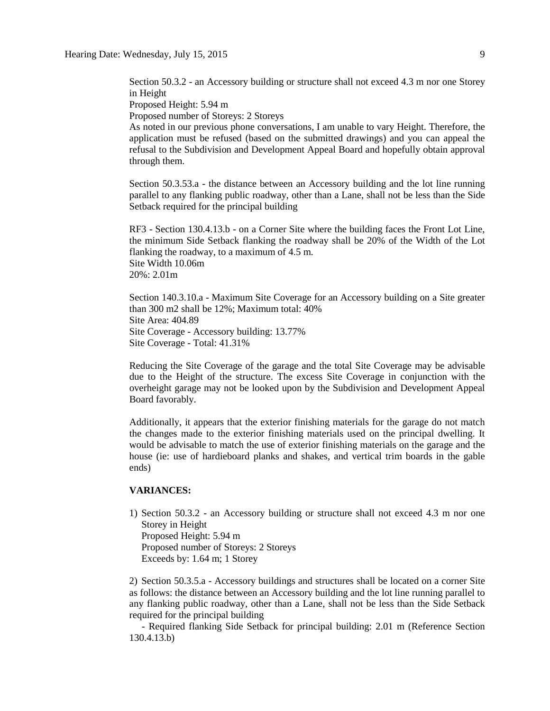Section 50.3.2 - an Accessory building or structure shall not exceed 4.3 m nor one Storey in Height

Proposed Height: 5.94 m

Proposed number of Storeys: 2 Storeys

As noted in our previous phone conversations, I am unable to vary Height. Therefore, the application must be refused (based on the submitted drawings) and you can appeal the refusal to the Subdivision and Development Appeal Board and hopefully obtain approval through them.

Section 50.3.53.a - the distance between an Accessory building and the lot line running parallel to any flanking public roadway, other than a Lane, shall not be less than the Side Setback required for the principal building

RF3 - Section 130.4.13.b - on a Corner Site where the building faces the Front Lot Line, the minimum Side Setback flanking the roadway shall be 20% of the Width of the Lot flanking the roadway, to a maximum of 4.5 m. Site Width 10.06m 20%: 2.01m

Section 140.3.10.a - Maximum Site Coverage for an Accessory building on a Site greater than 300 m2 shall be 12%; Maximum total: 40% Site Area: 404.89 Site Coverage - Accessory building: 13.77% Site Coverage - Total: 41.31%

Reducing the Site Coverage of the garage and the total Site Coverage may be advisable due to the Height of the structure. The excess Site Coverage in conjunction with the overheight garage may not be looked upon by the Subdivision and Development Appeal Board favorably.

Additionally, it appears that the exterior finishing materials for the garage do not match the changes made to the exterior finishing materials used on the principal dwelling. It would be advisable to match the use of exterior finishing materials on the garage and the house (ie: use of hardieboard planks and shakes, and vertical trim boards in the gable ends)

## **VARIANCES:**

1) Section 50.3.2 - an Accessory building or structure shall not exceed 4.3 m nor one Storey in Height Proposed Height: 5.94 m Proposed number of Storeys: 2 Storeys Exceeds by: 1.64 m; 1 Storey

2) Section 50.3.5.a - Accessory buildings and structures shall be located on a corner Site as follows: the distance between an Accessory building and the lot line running parallel to any flanking public roadway, other than a Lane, shall not be less than the Side Setback required for the principal building

 - Required flanking Side Setback for principal building: 2.01 m (Reference Section 130.4.13.b)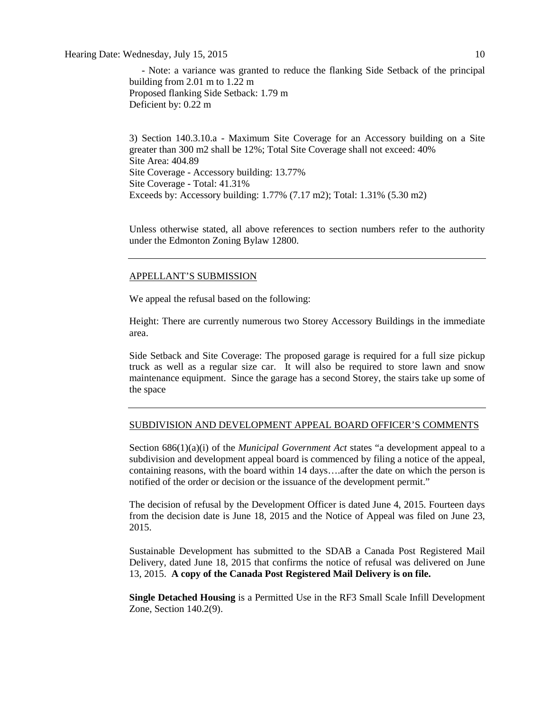Hearing Date: Wednesday, July 15, 2015 10

 - Note: a variance was granted to reduce the flanking Side Setback of the principal building from 2.01 m to 1.22 m Proposed flanking Side Setback: 1.79 m Deficient by: 0.22 m

3) Section 140.3.10.a - Maximum Site Coverage for an Accessory building on a Site greater than 300 m2 shall be 12%; Total Site Coverage shall not exceed: 40% Site Area: 404.89 Site Coverage - Accessory building: 13.77% Site Coverage - Total: 41.31% Exceeds by: Accessory building: 1.77% (7.17 m2); Total: 1.31% (5.30 m2)

Unless otherwise stated, all above references to section numbers refer to the authority under the Edmonton Zoning Bylaw 12800.

## APPELLANT'S SUBMISSION

We appeal the refusal based on the following:

Height: There are currently numerous two Storey Accessory Buildings in the immediate area.

Side Setback and Site Coverage: The proposed garage is required for a full size pickup truck as well as a regular size car. It will also be required to store lawn and snow maintenance equipment. Since the garage has a second Storey, the stairs take up some of the space

## SUBDIVISION AND DEVELOPMENT APPEAL BOARD OFFICER'S COMMENTS

Section 686(1)(a)(i) of the *Municipal Government Act* states "a development appeal to a subdivision and development appeal board is commenced by filing a notice of the appeal, containing reasons, with the board within 14 days….after the date on which the person is notified of the order or decision or the issuance of the development permit."

The decision of refusal by the Development Officer is dated June 4, 2015. Fourteen days from the decision date is June 18, 2015 and the Notice of Appeal was filed on June 23, 2015.

Sustainable Development has submitted to the SDAB a Canada Post Registered Mail Delivery, dated June 18, 2015 that confirms the notice of refusal was delivered on June 13, 2015. **A copy of the Canada Post Registered Mail Delivery is on file.**

**Single Detached Housing** is a Permitted Use in the RF3 Small Scale Infill Development Zone, Section 140.2(9).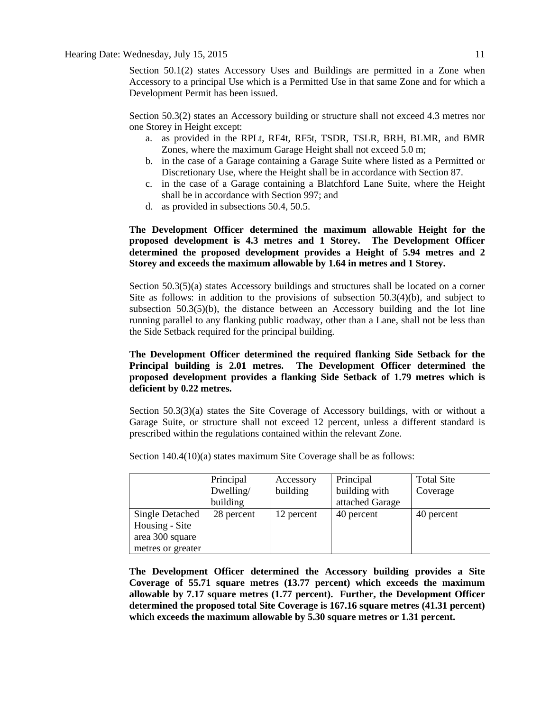Section 50.1(2) states Accessory Uses and Buildings are permitted in a Zone when Accessory to a principal Use which is a Permitted Use in that same Zone and for which a Development Permit has been issued.

Section 50.3(2) states an Accessory building or structure shall not exceed 4.3 metres nor one Storey in Height except:

- a. as provided in the RPLt, RF4t, RF5t, TSDR, TSLR, BRH, BLMR, and BMR Zones, where the maximum Garage Height shall not exceed 5.0 m;
- b. in the case of a Garage containing a Garage Suite where listed as a Permitted or Discretionary Use, where the Height shall be in accordance with Section 87.
- c. in the case of a Garage containing a Blatchford Lane Suite, where the Height shall be in accordance with Section 997; and
- d. as provided in subsections 50.4, 50.5.

# **The Development Officer determined the maximum allowable Height for the proposed development is 4.3 metres and 1 Storey. The Development Officer determined the proposed development provides a Height of 5.94 metres and 2 Storey and exceeds the maximum allowable by 1.64 in metres and 1 Storey.**

Section 50.3(5)(a) states Accessory buildings and structures shall be located on a corner Site as follows: in addition to the provisions of subsection 50.3(4)(b), and subject to subsection  $50.3(5)(b)$ , the distance between an Accessory building and the lot line running parallel to any flanking public roadway, other than a Lane, shall not be less than the Side Setback required for the principal building.

# **The Development Officer determined the required flanking Side Setback for the Principal building is 2.01 metres. The Development Officer determined the proposed development provides a flanking Side Setback of 1.79 metres which is deficient by 0.22 metres.**

Section 50.3(3)(a) states the Site Coverage of Accessory buildings, with or without a Garage Suite, or structure shall not exceed 12 percent, unless a different standard is prescribed within the regulations contained within the relevant Zone.

|                                                             | Principal<br>Dwelling/<br>building | Accessory<br>building | Principal<br>building with<br>attached Garage | <b>Total Site</b><br>Coverage |
|-------------------------------------------------------------|------------------------------------|-----------------------|-----------------------------------------------|-------------------------------|
| <b>Single Detached</b><br>Housing - Site<br>area 300 square | 28 percent                         | 12 percent            | 40 percent                                    | 40 percent                    |
| metres or greater                                           |                                    |                       |                                               |                               |

Section 140.4(10)(a) states maximum Site Coverage shall be as follows:

**The Development Officer determined the Accessory building provides a Site Coverage of 55.71 square metres (13.77 percent) which exceeds the maximum allowable by 7.17 square metres (1.77 percent). Further, the Development Officer determined the proposed total Site Coverage is 167.16 square metres (41.31 percent) which exceeds the maximum allowable by 5.30 square metres or 1.31 percent.**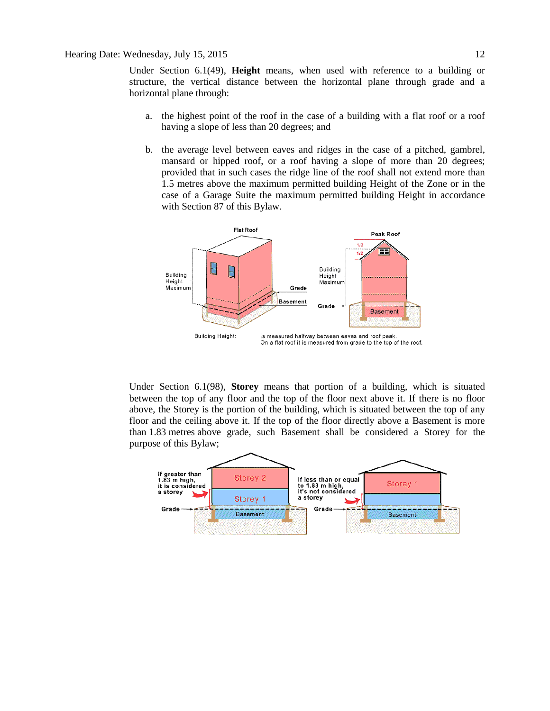Under Section 6.1(49), **Height** means, when used with reference to a building or structure, the vertical distance between the horizontal plane through grade and a horizontal plane through:

- a. the highest point of the roof in the case of a building with a flat roof or a roof having a slope of less than 20 degrees; and
- b. the average level between eaves and ridges in the case of a pitched, gambrel, mansard or hipped roof, or a roof having a slope of more than 20 degrees; provided that in such cases the ridge line of the roof shall not extend more than 1.5 metres above the maximum permitted building Height of the Zone or in the case of a Garage Suite the maximum permitted building Height in accordance with Section 87 of this Bylaw.



Under Section 6.1(98), **Storey** means that portion of a building, which is situated between the top of any floor and the top of the floor next above it. If there is no floor above, the Storey is the portion of the building, which is situated between the top of any floor and the ceiling above it. If the top of the floor directly above a Basement is more than [1.83](javascript:void(0);) metres above grade, such Basement shall be considered a Storey for the purpose of this Bylaw;

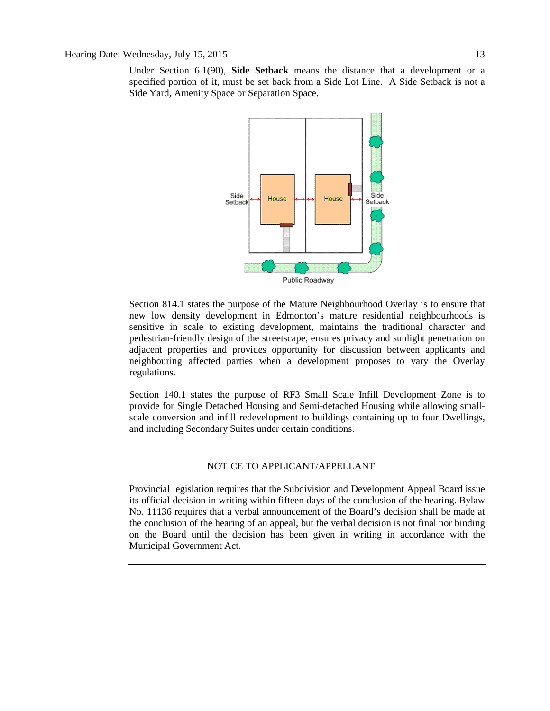Under Section 6.1(90), **Side Setback** means the distance that a development or a specified portion of it, must be set back from a Side Lot Line. A Side Setback is not a Side Yard, Amenity Space or Separation Space.



Section 814.1 states the purpose of the Mature Neighbourhood Overlay is to ensure that new low density development in Edmonton's mature residential neighbourhoods is sensitive in scale to existing development, maintains the traditional character and pedestrian-friendly design of the streetscape, ensures privacy and sunlight penetration on adjacent properties and provides opportunity for discussion between applicants and neighbouring affected parties when a development proposes to vary the Overlay regulations.

Section 140.1 states the purpose of RF3 Small Scale Infill Development Zone is to provide for Single Detached Housing and Semi-detached Housing while allowing smallscale conversion and infill redevelopment to buildings containing up to four Dwellings, and including Secondary Suites under certain conditions.

# NOTICE TO APPLICANT/APPELLANT

Provincial legislation requires that the Subdivision and Development Appeal Board issue its official decision in writing within fifteen days of the conclusion of the hearing. Bylaw No. 11136 requires that a verbal announcement of the Board's decision shall be made at the conclusion of the hearing of an appeal, but the verbal decision is not final nor binding on the Board until the decision has been given in writing in accordance with the Municipal Government Act.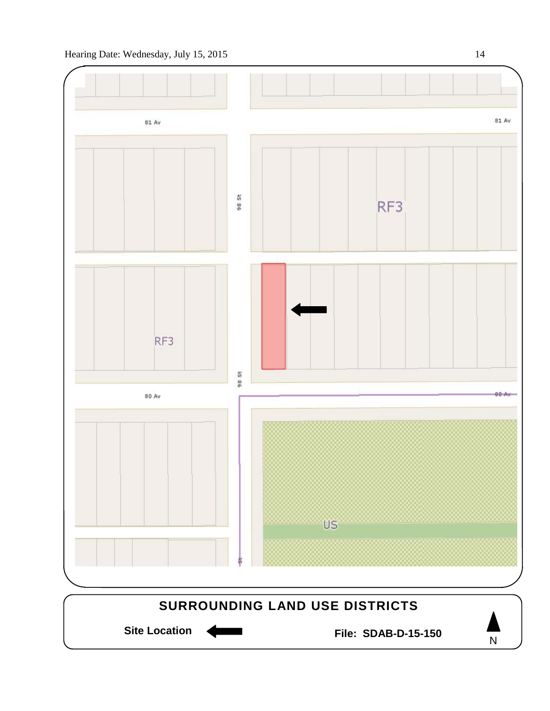

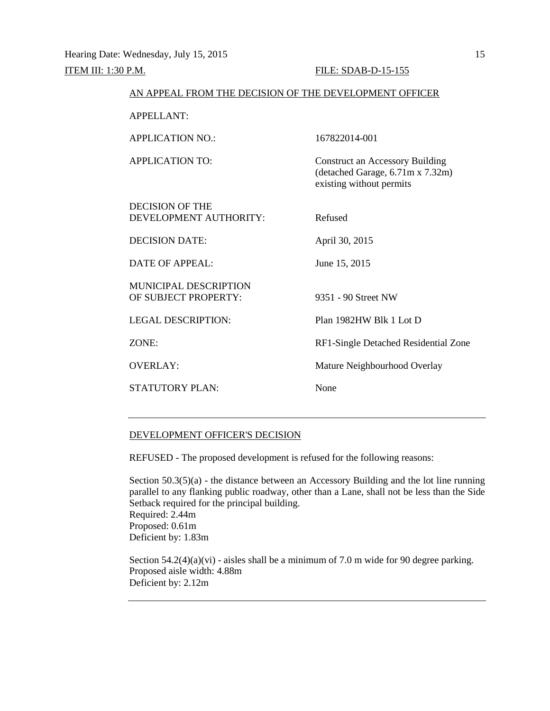| AN APPEAL FROM THE DECISION OF THE DEVELOPMENT OFFICER |                                                                                                        |  |
|--------------------------------------------------------|--------------------------------------------------------------------------------------------------------|--|
| <b>APPELLANT:</b>                                      |                                                                                                        |  |
| <b>APPLICATION NO.:</b>                                | 167822014-001                                                                                          |  |
| <b>APPLICATION TO:</b>                                 | <b>Construct an Accessory Building</b><br>(detached Garage, 6.71m x 7.32m)<br>existing without permits |  |
| <b>DECISION OF THE</b><br>DEVELOPMENT AUTHORITY:       | Refused                                                                                                |  |
| <b>DECISION DATE:</b>                                  | April 30, 2015                                                                                         |  |
| <b>DATE OF APPEAL:</b>                                 | June 15, 2015                                                                                          |  |
| MUNICIPAL DESCRIPTION<br>OF SUBJECT PROPERTY:          | 9351 - 90 Street NW                                                                                    |  |
| <b>LEGAL DESCRIPTION:</b>                              | Plan 1982HW Blk 1 Lot D                                                                                |  |
| ZONE:                                                  | RF1-Single Detached Residential Zone                                                                   |  |
| <b>OVERLAY:</b>                                        | Mature Neighbourhood Overlay                                                                           |  |
| <b>STATUTORY PLAN:</b>                                 | None                                                                                                   |  |
|                                                        |                                                                                                        |  |

# DEVELOPMENT OFFICER'S DECISION

REFUSED - The proposed development is refused for the following reasons:

Section 50.3(5)(a) - the distance between an Accessory Building and the lot line running parallel to any flanking public roadway, other than a Lane, shall not be less than the Side Setback required for the principal building. Required: 2.44m Proposed: 0.61m Deficient by: 1.83m

Section  $54.2(4)(a)(vi)$  - aisles shall be a minimum of 7.0 m wide for 90 degree parking. Proposed aisle width: 4.88m Deficient by: 2.12m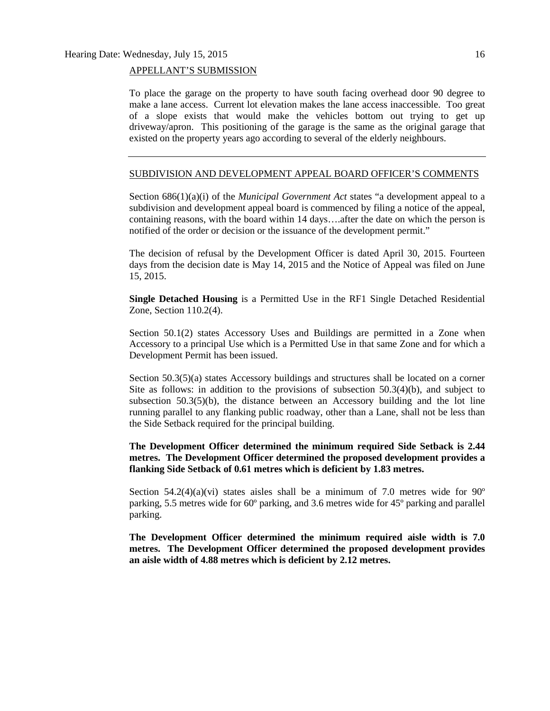# APPELLANT'S SUBMISSION

To place the garage on the property to have south facing overhead door 90 degree to make a lane access. Current lot elevation makes the lane access inaccessible. Too great of a slope exists that would make the vehicles bottom out trying to get up driveway/apron. This positioning of the garage is the same as the original garage that existed on the property years ago according to several of the elderly neighbours.

## SUBDIVISION AND DEVELOPMENT APPEAL BOARD OFFICER'S COMMENTS

Section 686(1)(a)(i) of the *Municipal Government Act* states "a development appeal to a subdivision and development appeal board is commenced by filing a notice of the appeal, containing reasons, with the board within 14 days….after the date on which the person is notified of the order or decision or the issuance of the development permit."

The decision of refusal by the Development Officer is dated April 30, 2015. Fourteen days from the decision date is May 14, 2015 and the Notice of Appeal was filed on June 15, 2015.

**Single Detached Housing** is a Permitted Use in the RF1 Single Detached Residential Zone, Section 110.2(4).

Section 50.1(2) states Accessory Uses and Buildings are permitted in a Zone when Accessory to a principal Use which is a Permitted Use in that same Zone and for which a Development Permit has been issued.

Section 50.3(5)(a) states Accessory buildings and structures shall be located on a corner Site as follows: in addition to the provisions of subsection  $50.3(4)(b)$ , and subject to subsection  $50.3(5)(b)$ , the distance between an Accessory building and the lot line running parallel to any flanking public roadway, other than a Lane, shall not be less than the Side Setback required for the principal building.

**The Development Officer determined the minimum required Side Setback is 2.44 metres. The Development Officer determined the proposed development provides a flanking Side Setback of 0.61 metres which is deficient by 1.83 metres.** 

Section  $54.2(4)(a)(vi)$  states aisles shall be a minimum of 7.0 metres wide for  $90^{\circ}$ parking, 5.5 metres wide for 60º parking, and 3.6 metres wide for 45º parking and parallel parking.

**The Development Officer determined the minimum required aisle width is 7.0 metres. The Development Officer determined the proposed development provides an aisle width of 4.88 metres which is deficient by 2.12 metres.**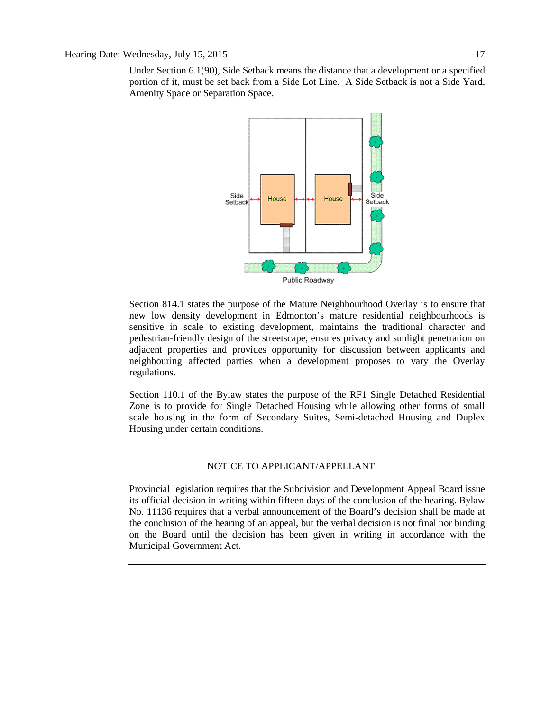Under Section 6.1(90), Side Setback means the distance that a development or a specified portion of it, must be set back from a Side Lot Line. A Side Setback is not a Side Yard, Amenity Space or Separation Space.



Section 814.1 states the purpose of the Mature Neighbourhood Overlay is to ensure that new low density development in Edmonton's mature residential neighbourhoods is sensitive in scale to existing development, maintains the traditional character and pedestrian-friendly design of the streetscape, ensures privacy and sunlight penetration on adjacent properties and provides opportunity for discussion between applicants and neighbouring affected parties when a development proposes to vary the Overlay regulations.

Section 110.1 of the Bylaw states the purpose of the RF1 Single Detached Residential Zone is to provide for Single Detached Housing while allowing other forms of small scale housing in the form of Secondary Suites, Semi-detached Housing and Duplex Housing under certain conditions.

# NOTICE TO APPLICANT/APPELLANT

Provincial legislation requires that the Subdivision and Development Appeal Board issue its official decision in writing within fifteen days of the conclusion of the hearing. Bylaw No. 11136 requires that a verbal announcement of the Board's decision shall be made at the conclusion of the hearing of an appeal, but the verbal decision is not final nor binding on the Board until the decision has been given in writing in accordance with the Municipal Government Act.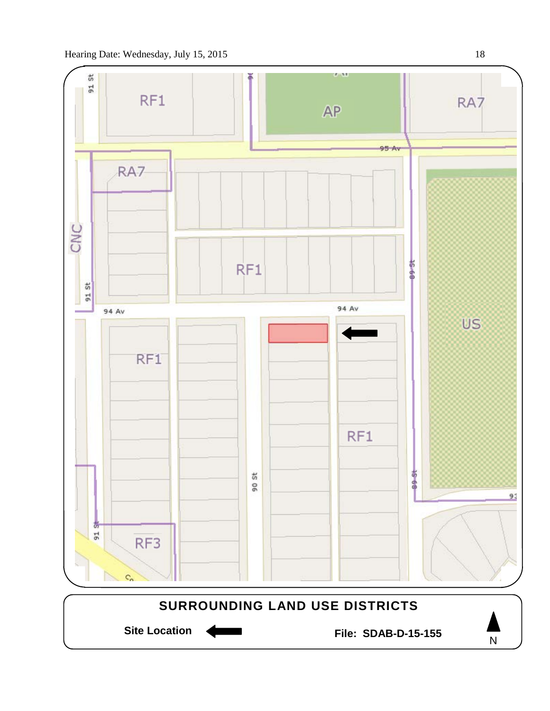